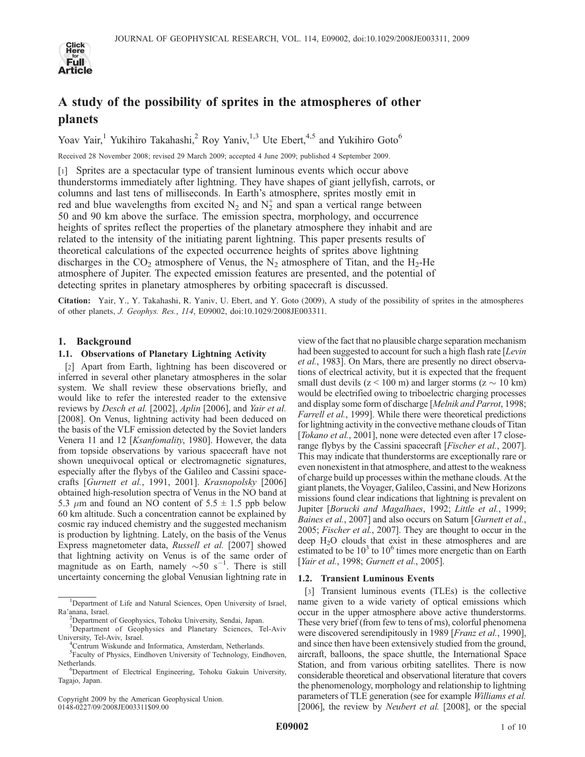

# A study of the possibility of sprites in the atmospheres of other planets

Yoav Yair,<sup>1</sup> Yukihiro Takahashi,<sup>2</sup> Roy Yaniv,<sup>1,3</sup> Ute Ebert,<sup>4,5</sup> and Yukihiro Goto<sup>6</sup>

Received 28 November 2008; revised 29 March 2009; accepted 4 June 2009; published 4 September 2009.

[1] Sprites are a spectacular type of transient luminous events which occur above thunderstorms immediately after lightning. They have shapes of giant jellyfish, carrots, or columns and last tens of milliseconds. In Earth's atmosphere, sprites mostly emit in red and blue wavelengths from excited  $N_2$  and  $N_2^+$  and span a vertical range between 50 and 90 km above the surface. The emission spectra, morphology, and occurrence heights of sprites reflect the properties of the planetary atmosphere they inhabit and are related to the intensity of the initiating parent lightning. This paper presents results of theoretical calculations of the expected occurrence heights of sprites above lightning discharges in the  $CO_2$  atmosphere of Venus, the N<sub>2</sub> atmosphere of Titan, and the H<sub>2</sub>-He atmosphere of Jupiter. The expected emission features are presented, and the potential of detecting sprites in planetary atmospheres by orbiting spacecraft is discussed.

Citation: Yair, Y., Y. Takahashi, R. Yaniv, U. Ebert, and Y. Goto (2009), A study of the possibility of sprites in the atmospheres of other planets, J. Geophys. Res., 114, E09002, doi:10.1029/2008JE003311.

## 1. Background

## 1.1. Observations of Planetary Lightning Activity

[2] Apart from Earth, lightning has been discovered or inferred in several other planetary atmospheres in the solar system. We shall review these observations briefly, and would like to refer the interested reader to the extensive reviews by Desch et al. [2002], Aplin [2006], and Yair et al. [2008]. On Venus, lightning activity had been deduced on the basis of the VLF emission detected by the Soviet landers Venera 11 and 12 [Ksanfomality, 1980]. However, the data from topside observations by various spacecraft have not shown unequivocal optical or electromagnetic signatures, especially after the flybys of the Galileo and Cassini spacecrafts [Gurnett et al., 1991, 2001]. Krasnopolsky [2006] obtained high-resolution spectra of Venus in the NO band at 5.3  $\mu$ m and found an NO content of 5.5  $\pm$  1.5 ppb below 60 km altitude. Such a concentration cannot be explained by cosmic ray induced chemistry and the suggested mechanism is production by lightning. Lately, on the basis of the Venus Express magnetometer data, Russell et al. [2007] showed that lightning activity on Venus is of the same order of magnitude as on Earth, namely  $\sim 50$  s<sup>-1</sup>. There is still uncertainty concerning the global Venusian lightning rate in

Copyright 2009 by the American Geophysical Union. 0148-0227/09/2008JE003311\$09.00

view of the fact that no plausible charge separation mechanism had been suggested to account for such a high flash rate [Levin] et al., 1983]. On Mars, there are presently no direct observations of electrical activity, but it is expected that the frequent small dust devils ( $z < 100$  m) and larger storms ( $z \sim 10$  km) would be electrified owing to triboelectric charging processes and display some form of discharge [Melnik and Parrot, 1998; Farrell et al., 1999]. While there were theoretical predictions for lightning activity in the convective methane clouds of Titan [Tokano et al., 2001], none were detected even after 17 closerange flybys by the Cassini spacecraft [*Fischer et al.*, 2007]. This may indicate that thunderstorms are exceptionally rare or even nonexistent in that atmosphere, and attest to the weakness of charge build up processes within the methane clouds. At the giant planets, the Voyager, Galileo, Cassini, and New Horizons missions found clear indications that lightning is prevalent on Jupiter [Borucki and Magalhaes, 1992; Little et al., 1999; Baines et al., 2007] and also occurs on Saturn [Gurnett et al., 2005; Fischer et al., 2007]. They are thought to occur in the deep H<sub>2</sub>O clouds that exist in these atmospheres and are estimated to be  $10^3$  to  $10^6$  times more energetic than on Earth [Yair et al., 1998; Gurnett et al., 2005].

#### 1.2. Transient Luminous Events

[3] Transient luminous events (TLEs) is the collective name given to a wide variety of optical emissions which occur in the upper atmosphere above active thunderstorms. These very brief (from few to tens of ms), colorful phenomena were discovered serendipitously in 1989 [*Franz et al.*, 1990], and since then have been extensively studied from the ground, aircraft, balloons, the space shuttle, the International Space Station, and from various orbiting satellites. There is now considerable theoretical and observational literature that covers the phenomenology, morphology and relationship to lightning parameters of TLE generation (see for example Williams et al. [2006], the review by *Neubert et al.* [2008], or the special

<sup>&</sup>lt;sup>1</sup>Department of Life and Natural Sciences, Open University of Israel, Ra'anana, Israel.

Department of Geophysics, Tohoku University, Sendai, Japan.

<sup>&</sup>lt;sup>3</sup>Department of Geophysics and Planetary Sciences, Tel-Aviv University, Tel-Aviv, Israel. <sup>4</sup>

<sup>&</sup>lt;sup>4</sup>Centrum Wiskunde and Informatica, Amsterdam, Netherlands.

<sup>5</sup> Faculty of Physics, Eindhoven University of Technology, Eindhoven, Netherlands.

Department of Electrical Engineering, Tohoku Gakuin University, Tagajo, Japan.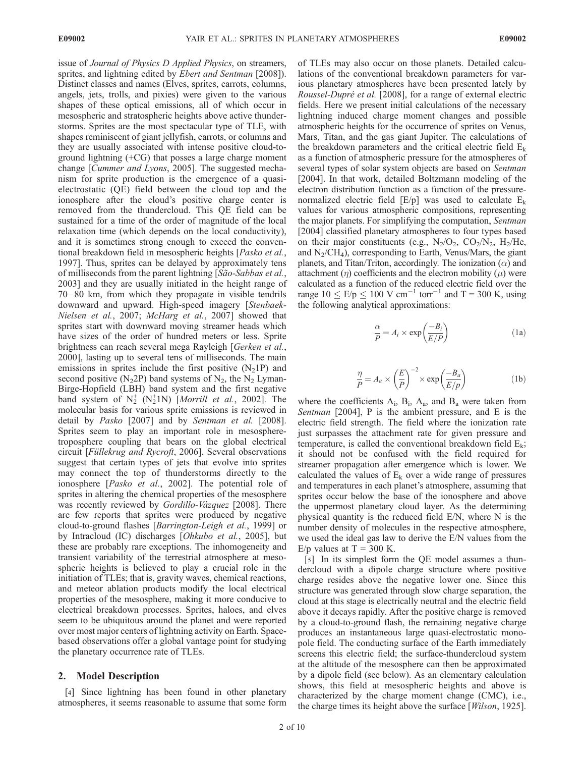issue of Journal of Physics D Applied Physics, on streamers, sprites, and lightning edited by Ebert and Sentman [2008]). Distinct classes and names (Elves, sprites, carrots, columns, angels, jets, trolls, and pixies) were given to the various shapes of these optical emissions, all of which occur in mesospheric and stratospheric heights above active thunderstorms. Sprites are the most spectacular type of TLE, with shapes reminiscent of giant jellyfish, carrots, or columns and they are usually associated with intense positive cloud-toground lightning (+CG) that posses a large charge moment change [Cummer and Lyons, 2005]. The suggested mechanism for sprite production is the emergence of a quasielectrostatic (QE) field between the cloud top and the ionosphere after the cloud's positive charge center is removed from the thundercloud. This QE field can be sustained for a time of the order of magnitude of the local relaxation time (which depends on the local conductivity), and it is sometimes strong enough to exceed the conventional breakdown field in mesospheric heights [Pasko et al., 1997]. Thus, sprites can be delayed by approximately tens of milliseconds from the parent lightning [São-Sabbas et al., 2003] and they are usually initiated in the height range of 70 – 80 km, from which they propagate in visible tendrils downward and upward. High-speed imagery [Stenbaek-Nielsen et al., 2007; McHarg et al., 2007] showed that sprites start with downward moving streamer heads which have sizes of the order of hundred meters or less. Sprite brightness can reach several mega Rayleigh [Gerken et al., 2000], lasting up to several tens of milliseconds. The main emissions in sprites include the first positive  $(N_21P)$  and second positive (N<sub>2</sub>2P) band systems of N<sub>2</sub>, the N<sub>2</sub> Lyman-Birge-Hopfield (LBH) band system and the first negative band system of  $N_2^+$   $(N_2^+1N)$  [*Morrill et al.*, 2002]. The molecular basis for various sprite emissions is reviewed in detail by Pasko [2007] and by Sentman et al. [2008]. Sprites seem to play an important role in mesospheretroposphere coupling that bears on the global electrical circuit [Füllekrug and Rycroft, 2006]. Several observations suggest that certain types of jets that evolve into sprites may connect the top of thunderstorms directly to the ionosphere [Pasko et al., 2002]. The potential role of sprites in altering the chemical properties of the mesosphere was recently reviewed by Gordillo-Vázquez [2008]. There are few reports that sprites were produced by negative cloud-to-ground flashes [Barrington-Leigh et al., 1999] or by Intracloud (IC) discharges [Ohkubo et al., 2005], but these are probably rare exceptions. The inhomogeneity and transient variability of the terrestrial atmosphere at mesospheric heights is believed to play a crucial role in the initiation of TLEs; that is, gravity waves, chemical reactions, and meteor ablation products modify the local electrical properties of the mesosphere, making it more conducive to electrical breakdown processes. Sprites, haloes, and elves seem to be ubiquitous around the planet and were reported over most major centers of lightning activity on Earth. Spacebased observations offer a global vantage point for studying the planetary occurrence rate of TLEs.

#### 2. Model Description

[4] Since lightning has been found in other planetary atmospheres, it seems reasonable to assume that some form of TLEs may also occur on those planets. Detailed calculations of the conventional breakdown parameters for various planetary atmospheres have been presented lately by Roussel-Dupré et al. [2008], for a range of external electric fields. Here we present initial calculations of the necessary lightning induced charge moment changes and possible atmospheric heights for the occurrence of sprites on Venus, Mars, Titan, and the gas giant Jupiter. The calculations of the breakdown parameters and the critical electric field  $E_k$ as a function of atmospheric pressure for the atmospheres of several types of solar system objects are based on Sentman [2004]. In that work, detailed Boltzmann modeling of the electron distribution function as a function of the pressurenormalized electric field  $[E/p]$  was used to calculate  $E_k$ values for various atmospheric compositions, representing the major planets. For simplifying the computation, Sentman [2004] classified planetary atmospheres to four types based on their major constituents (e.g.,  $N_2/O_2$ ,  $CO_2/N_2$ ,  $H_2/He$ , and  $N_2$ /CH<sub>4</sub>), corresponding to Earth, Venus/Mars, the giant planets, and Titan/Triton, accordingly. The ionization  $(\alpha)$  and attachment  $(\eta)$  coefficients and the electron mobility  $(\mu)$  were calculated as a function of the reduced electric field over the range  $10 \leq E/p \leq 100 \text{ V cm}^{-1} \text{ torr}^{-1}$  and T = 300 K, using the following analytical approximations:

$$
\frac{\alpha}{P} = A_i \times \exp\left(\frac{-B_i}{E/P}\right) \tag{1a}
$$

$$
\frac{\eta}{P} = A_a \times \left(\frac{E}{P}\right)^{-2} \times \exp\left(\frac{-B_a}{E/p}\right)
$$
 (1b)

where the coefficients  $A_i$ ,  $B_i$ ,  $A_a$ , and  $B_a$  were taken from Sentman [2004], P is the ambient pressure, and E is the electric field strength. The field where the ionization rate just surpasses the attachment rate for given pressure and temperature, is called the conventional breakdown field  $E_k$ ; it should not be confused with the field required for streamer propagation after emergence which is lower. We calculated the values of  $E_k$  over a wide range of pressures and temperatures in each planet's atmosphere, assuming that sprites occur below the base of the ionosphere and above the uppermost planetary cloud layer. As the determining physical quantity is the reduced field E/N, where N is the number density of molecules in the respective atmosphere, we used the ideal gas law to derive the E/N values from the E/p values at  $T = 300$  K.

[5] In its simplest form the QE model assumes a thundercloud with a dipole charge structure where positive charge resides above the negative lower one. Since this structure was generated through slow charge separation, the cloud at this stage is electrically neutral and the electric field above it decays rapidly. After the positive charge is removed by a cloud-to-ground flash, the remaining negative charge produces an instantaneous large quasi-electrostatic monopole field. The conducting surface of the Earth immediately screens this electric field; the surface-thundercloud system at the altitude of the mesosphere can then be approximated by a dipole field (see below). As an elementary calculation shows, this field at mesospheric heights and above is characterized by the charge moment change (CMC), i.e., the charge times its height above the surface [Wilson, 1925].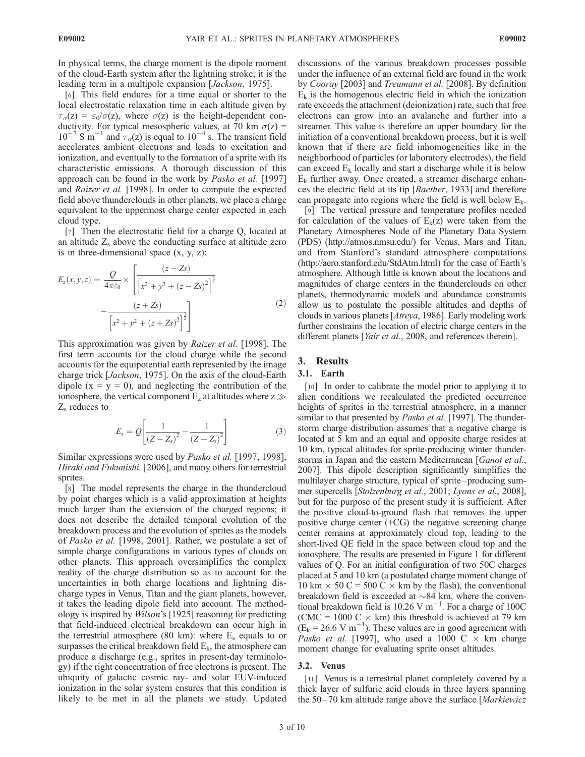In physical terms, the charge moment is the dipole moment of the cloud-Earth system after the lightning stroke; it is the leading term in a multipole expansion [Jackson, 1975].

[6] This field endures for a time equal or shorter to the local electrostatic relaxation time in each altitude given by  $\tau_{\sigma}(z) = \varepsilon_0/\sigma(z)$ , where  $\sigma(z)$  is the height-dependent conductivity. For typical mesospheric values, at 70 km  $\sigma(z)$  =  $10^{-7}$  S m<sup>-1</sup> and  $\tau_{\sigma}(z)$  is equal to  $10^{-4}$  s. The transient field accelerates ambient electrons and leads to excitation and ionization, and eventually to the formation of a sprite with its characteristic emissions. A thorough discussion of this approach can be found in the work by *Pasko et al.* [1997] and Raizer et al. [1998]. In order to compute the expected field above thunderclouds in other planets, we place a charge equivalent to the uppermost charge center expected in each cloud type.

[7] Then the electrostatic field for a charge Q, located at an altitude  $Z_s$  above the conducting surface at altitude zero is in three-dimensional space  $(x, y, z)$ :

$$
E_z(x, y, z) = \frac{Q}{4\pi\varepsilon_0} \times \left[ \frac{(z - Zs)}{\left[x^2 + y^2 + (z - Zs)^2\right]^{\frac{3}{2}}} - \frac{(z + Zs)}{\left[x^2 + y^2 + (z + Zs)^2\right]^{\frac{3}{2}}}\right]
$$
(2)

This approximation was given by *Raizer et al.* [1998]. The first term accounts for the cloud charge while the second accounts for the equipotential earth represented by the image charge trick [Jackson, 1975]. On the axis of the cloud-Earth dipole  $(x = y = 0)$ , and neglecting the contribution of the ionosphere, the vertical component  $E_z$  at altitudes where  $z \gg$  $Z<sub>s</sub>$  reduces to

$$
E_s = Q \left[ \frac{1}{(Z - Z_s)^2} - \frac{1}{(Z + Z_s)^2} \right] \tag{3}
$$

Similar expressions were used by Pasko et al. [1997, 1998], Hiraki and Fukunishi, [2006], and many others for terrestrial sprites.

[8] The model represents the charge in the thundercloud by point charges which is a valid approximation at heights much larger than the extension of the charged regions; it does not describe the detailed temporal evolution of the breakdown process and the evolution of sprites as the models of Pasko et al. [1998, 2001]. Rather, we postulate a set of simple charge configurations in various types of clouds on other planets. This approach oversimplifies the complex reality of the charge distribution so as to account for the uncertainties in both charge locations and lightning discharge types in Venus, Titan and the giant planets, however, it takes the leading dipole field into account. The methodology is inspired by *Wilson's* [1925] reasoning for predicting that field-induced electrical breakdown can occur high in the terrestrial atmosphere (80 km): where  $E_s$  equals to or surpasses the critical breakdown field  $E_k$ , the atmosphere can produce a discharge (e.g., sprites in present-day terminology) if the right concentration of free electrons is present. The ubiquity of galactic cosmic ray- and solar EUV-induced ionization in the solar system ensures that this condition is likely to be met in all the planets we study. Updated

discussions of the various breakdown processes possible under the influence of an external field are found in the work by Cooray [2003] and Treumann et al. [2008]. By definition  $E_k$  is the homogenous electric field in which the ionization rate exceeds the attachment (deionization) rate, such that free electrons can grow into an avalanche and further into a streamer. This value is therefore an upper boundary for the initiation of a conventional breakdown process, but it is well known that if there are field inhomogeneities like in the neighborhood of particles (or laboratory electrodes), the field can exceed  $E_k$  locally and start a discharge while it is below  $E_k$  further away. Once created, a streamer discharge enhances the electric field at its tip [Raether, 1933] and therefore can propagate into regions where the field is well below  $E_k$ .

[9] The vertical pressure and temperature profiles needed for calculation of the values of  $E_k(z)$  were taken from the Planetary Atmospheres Node of the Planetary Data System (PDS) (http://atmos.nmsu.edu/) for Venus, Mars and Titan, and from Stanford's standard atmosphere computations (http://aero.stanford.edu/StdAtm.html) for the case of Earth's atmosphere. Although little is known about the locations and magnitudes of charge centers in the thunderclouds on other planets, thermodynamic models and abundance constraints allow us to postulate the possible altitudes and depths of clouds in various planets [Atreya, 1986]. Early modeling work further constrains the location of electric charge centers in the different planets [Yair et al., 2008, and references therein].

## 3. Results

#### 3.1. Earth

[10] In order to calibrate the model prior to applying it to alien conditions we recalculated the predicted occurrence heights of sprites in the terrestrial atmosphere, in a manner similar to that presented by *Pasko et al.* [1997]. The thunderstorm charge distribution assumes that a negative charge is located at 5 km and an equal and opposite charge resides at 10 km, typical altitudes for sprite-producing winter thunderstorms in Japan and the eastern Mediterranean [Ganot et al., 2007]. This dipole description significantly simplifies the multilayer charge structure, typical of sprite–producing summer supercells [Stolzenburg et al., 2001; Lyons et al., 2008], but for the purpose of the present study it is sufficient. After the positive cloud-to-ground flash that removes the upper positive charge center (+CG) the negative screening charge center remains at approximately cloud top, leading to the short-lived QE field in the space between cloud top and the ionosphere. The results are presented in Figure 1 for different values of Q. For an initial configuration of two 50C charges placed at 5 and 10 km (a postulated charge moment change of 10 km  $\times$  50 C = 500 C  $\times$  km by the flash), the conventional breakdown field is exceeded at  $\sim$ 84 km, where the conventional breakdown field is 10.26 V  $m^{-1}$ . For a charge of 100C (CMC = 1000 C  $\times$  km) this threshold is achieved at 79 km  $(E_k = 26.6 \text{ V m}^{-1})$ . These values are in good agreement with Pasko et al. [1997], who used a 1000 C  $\times$  km charge moment change for evaluating sprite onset altitudes.

#### 3.2. Venus

[11] Venus is a terrestrial planet completely covered by a thick layer of sulfuric acid clouds in three layers spanning the  $50 - 70$  km altitude range above the surface [*Markiewicz*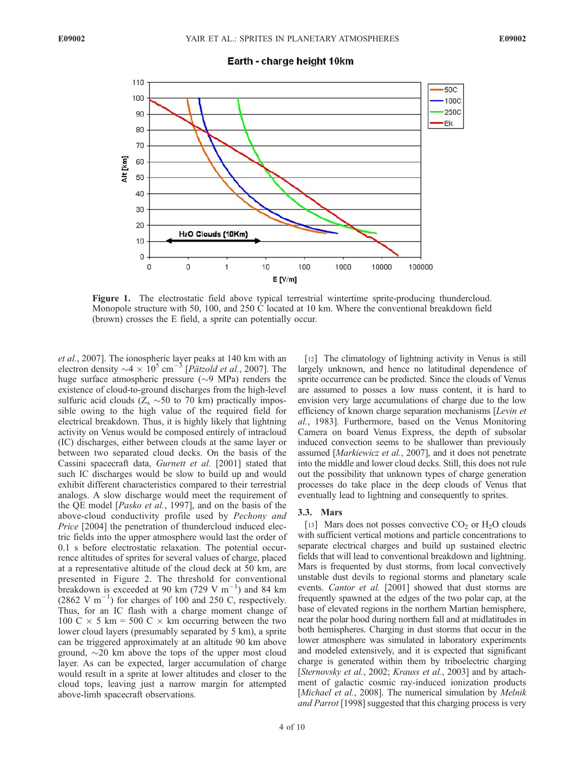Earth - charge height 10km



Figure 1. The electrostatic field above typical terrestrial wintertime sprite-producing thundercloud. Monopole structure with 50, 100, and 250 C located at 10 km. Where the conventional breakdown field (brown) crosses the E field, a sprite can potentially occur.

et al., 2007]. The ionospheric layer peaks at 140 km with an electron density  $\sim$ 4  $\times$  10<sup>5</sup> cm<sup>-5</sup> [*Pätzold et al.*, 2007]. The huge surface atmospheric pressure  $(\sim 9 \text{ MPa})$  renders the existence of cloud-to-ground discharges from the high-level sulfuric acid clouds ( $Z_s \sim 50$  to 70 km) practically impossible owing to the high value of the required field for electrical breakdown. Thus, it is highly likely that lightning activity on Venus would be composed entirely of intracloud (IC) discharges, either between clouds at the same layer or between two separated cloud decks. On the basis of the Cassini spacecraft data, Gurnett et al. [2001] stated that such IC discharges would be slow to build up and would exhibit different characteristics compared to their terrestrial analogs. A slow discharge would meet the requirement of the QE model [Pasko et al., 1997], and on the basis of the above-cloud conductivity profile used by Pechony and Price [2004] the penetration of thundercloud induced electric fields into the upper atmosphere would last the order of 0.1 s before electrostatic relaxation. The potential occurrence altitudes of sprites for several values of charge, placed at a representative altitude of the cloud deck at 50 km, are presented in Figure 2. The threshold for conventional breakdown is exceeded at 90 km (729 V  $m^{-1}$ ) and 84 km  $(2862 \text{ V m}^{-1})$  for charges of 100 and 250 C, respectively. Thus, for an IC flash with a charge moment change of 100 C  $\times$  5 km = 500 C  $\times$  km occurring between the two lower cloud layers (presumably separated by 5 km), a sprite can be triggered approximately at an altitude 90 km above ground,  $\sim$ 20 km above the tops of the upper most cloud layer. As can be expected, larger accumulation of charge would result in a sprite at lower altitudes and closer to the cloud tops, leaving just a narrow margin for attempted above-limb spacecraft observations.

[12] The climatology of lightning activity in Venus is still largely unknown, and hence no latitudinal dependence of sprite occurrence can be predicted. Since the clouds of Venus are assumed to posses a low mass content, it is hard to envision very large accumulations of charge due to the low efficiency of known charge separation mechanisms [Levin et al., 1983]. Furthermore, based on the Venus Monitoring Camera on board Venus Express, the depth of subsolar induced convection seems to be shallower than previously assumed [Markiewicz et al., 2007], and it does not penetrate into the middle and lower cloud decks. Still, this does not rule out the possibility that unknown types of charge generation processes do take place in the deep clouds of Venus that eventually lead to lightning and consequently to sprites.

## 3.3. Mars

[13] Mars does not posses convective  $CO_2$  or  $H_2O$  clouds with sufficient vertical motions and particle concentrations to separate electrical charges and build up sustained electric fields that will lead to conventional breakdown and lightning. Mars is frequented by dust storms, from local convectively unstable dust devils to regional storms and planetary scale events. Cantor et al. [2001] showed that dust storms are frequently spawned at the edges of the two polar cap, at the base of elevated regions in the northern Martian hemisphere, near the polar hood during northern fall and at midlatitudes in both hemispheres. Charging in dust storms that occur in the lower atmosphere was simulated in laboratory experiments and modeled extensively, and it is expected that significant charge is generated within them by triboelectric charging [Sternovsky et al., 2002; Krauss et al., 2003] and by attachment of galactic cosmic ray-induced ionization products [Michael et al., 2008]. The numerical simulation by Melnik and Parrot [1998] suggested that this charging process is very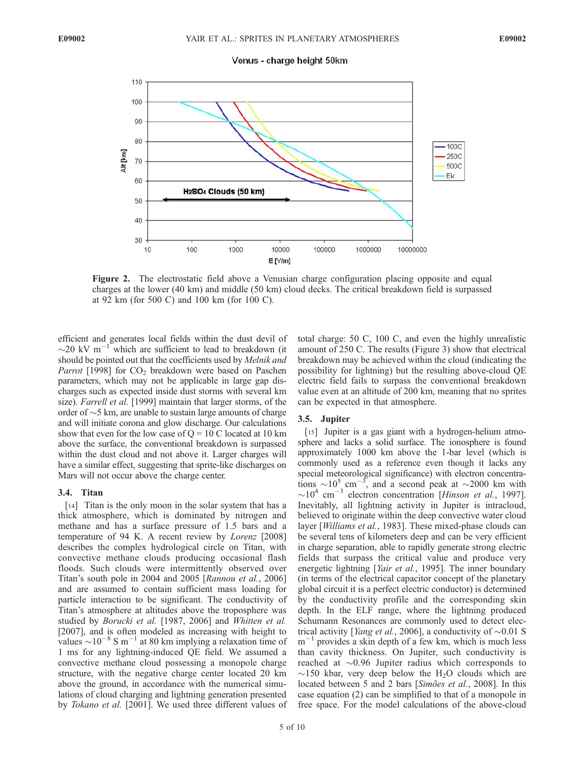

Figure 2. The electrostatic field above a Venusian charge configuration placing opposite and equal charges at the lower (40 km) and middle (50 km) cloud decks. The critical breakdown field is surpassed at 92 km (for 500 C) and 100 km (for 100 C).

efficient and generates local fields within the dust devil of  $\sim$ 20 kV m<sup>-1</sup> which are sufficient to lead to breakdown (it should be pointed out that the coefficients used by *Melnik and Parrot* [1998] for  $CO<sub>2</sub>$  breakdown were based on Paschen parameters, which may not be applicable in large gap discharges such as expected inside dust storms with several km size). Farrell et al. [1999] maintain that larger storms, of the order of  $\sim$ 5 km, are unable to sustain large amounts of charge and will initiate corona and glow discharge. Our calculations show that even for the low case of  $Q = 10$  C located at 10 km above the surface, the conventional breakdown is surpassed within the dust cloud and not above it. Larger charges will have a similar effect, suggesting that sprite-like discharges on Mars will not occur above the charge center.

#### 3.4. Titan

[14] Titan is the only moon in the solar system that has a thick atmosphere, which is dominated by nitrogen and methane and has a surface pressure of 1.5 bars and a temperature of 94 K. A recent review by Lorenz [2008] describes the complex hydrological circle on Titan, with convective methane clouds producing occasional flash floods. Such clouds were intermittently observed over Titan's south pole in 2004 and 2005 [Rannou et al., 2006] and are assumed to contain sufficient mass loading for particle interaction to be significant. The conductivity of Titan's atmosphere at altitudes above the troposphere was studied by Borucki et al. [1987, 2006] and Whitten et al. [2007], and is often modeled as increasing with height to values  $\sim 10^{-8}$  S m<sup>-1</sup> at 80 km implying a relaxation time of 1 ms for any lightning-induced QE field. We assumed a convective methane cloud possessing a monopole charge structure, with the negative charge center located 20 km above the ground, in accordance with the numerical simulations of cloud charging and lightning generation presented by Tokano et al. [2001]. We used three different values of

total charge: 50 C, 100 C, and even the highly unrealistic amount of 250 C. The results (Figure 3) show that electrical breakdown may be achieved within the cloud (indicating the possibility for lightning) but the resulting above-cloud QE electric field fails to surpass the conventional breakdown value even at an altitude of 200 km, meaning that no sprites can be expected in that atmosphere.

#### 3.5. Jupiter

[15] Jupiter is a gas giant with a hydrogen-helium atmosphere and lacks a solid surface. The ionosphere is found approximately 1000 km above the 1-bar level (which is commonly used as a reference even though it lacks any special meteorological significance) with electron concentrations  $\sim 10^5$  cm<sup>-3</sup>, and a second peak at  $\sim 2000$  km with  $\sim$ 10<sup>4</sup> cm<sup>-3</sup> electron concentration [Hinson et al., 1997]. Inevitably, all lightning activity in Jupiter is intracloud, believed to originate within the deep convective water cloud layer [Williams et al., 1983]. These mixed-phase clouds can be several tens of kilometers deep and can be very efficient in charge separation, able to rapidly generate strong electric fields that surpass the critical value and produce very energetic lightning [Yair et al., 1995]. The inner boundary (in terms of the electrical capacitor concept of the planetary global circuit it is a perfect electric conductor) is determined by the conductivity profile and the corresponding skin depth. In the ELF range, where the lightning produced Schumann Resonances are commonly used to detect electrical activity [*Yang et al.*, 2006], a conductivity of  $\sim 0.01$  S  $m^{-1}$  provides a skin depth of a few km, which is much less than cavity thickness. On Jupiter, such conductivity is reached at  $\sim 0.96$  Jupiter radius which corresponds to  $\sim$ 150 kbar, very deep below the H<sub>2</sub>O clouds which are located between 5 and 2 bars [Simoes et al., 2008]. In this case equation (2) can be simplified to that of a monopole in free space. For the model calculations of the above-cloud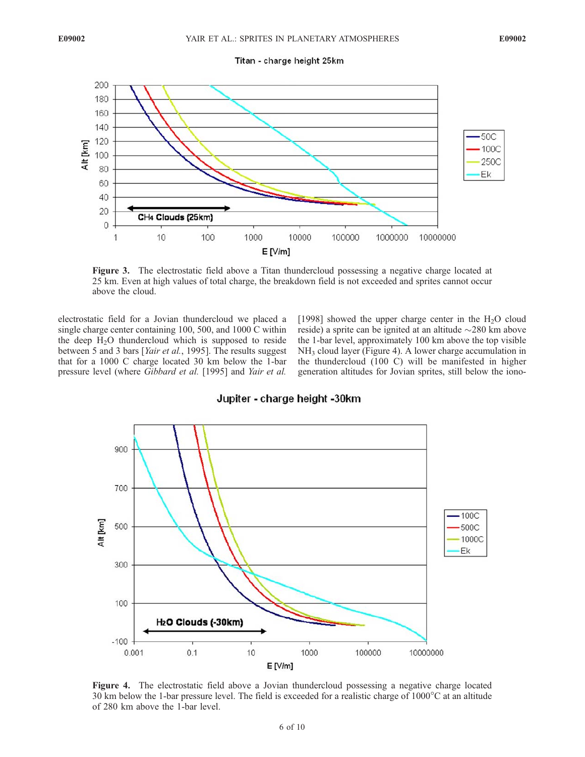

Figure 3. The electrostatic field above a Titan thundercloud possessing a negative charge located at 25 km. Even at high values of total charge, the breakdown field is not exceeded and sprites cannot occur above the cloud.

electrostatic field for a Jovian thundercloud we placed a single charge center containing 100, 500, and 1000 C within the deep  $H<sub>2</sub>O$  thundercloud which is supposed to reside between 5 and 3 bars [Yair et al., 1995]. The results suggest that for a 1000 C charge located 30 km below the 1-bar pressure level (where Gibbard et al. [1995] and Yair et al.

[1998] showed the upper charge center in the  $H_2O$  cloud reside) a sprite can be ignited at an altitude  $\sim$ 280 km above the 1-bar level, approximately 100 km above the top visible  $NH<sub>3</sub>$  cloud layer (Figure 4). A lower charge accumulation in the thundercloud (100 C) will be manifested in higher generation altitudes for Jovian sprites, still below the iono-



Jupiter - charge height -30km

Figure 4. The electrostatic field above a Jovian thundercloud possessing a negative charge located 30 km below the 1-bar pressure level. The field is exceeded for a realistic charge of  $1000^{\circ}$ C at an altitude of 280 km above the 1-bar level.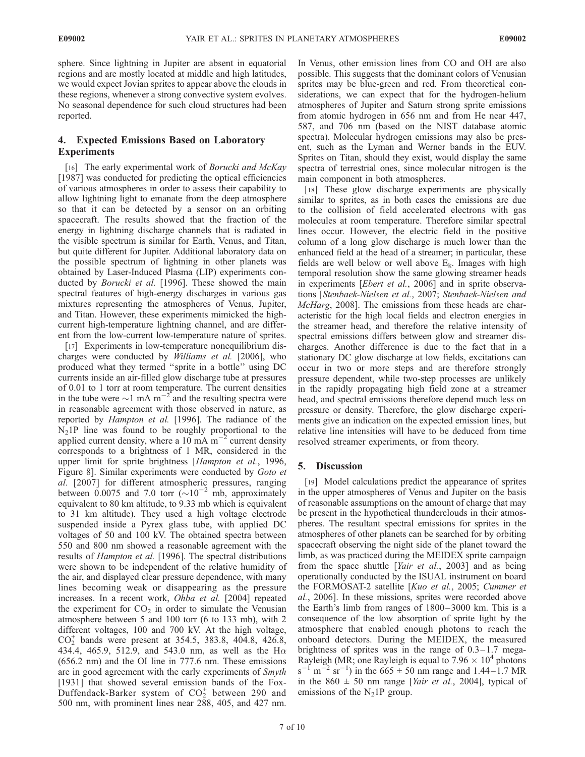sphere. Since lightning in Jupiter are absent in equatorial regions and are mostly located at middle and high latitudes, we would expect Jovian sprites to appear above the clouds in these regions, whenever a strong convective system evolves. No seasonal dependence for such cloud structures had been reported.

# 4. Expected Emissions Based on Laboratory **Experiments**

[16] The early experimental work of Borucki and McKay [1987] was conducted for predicting the optical efficiencies of various atmospheres in order to assess their capability to allow lightning light to emanate from the deep atmosphere so that it can be detected by a sensor on an orbiting spacecraft. The results showed that the fraction of the energy in lightning discharge channels that is radiated in the visible spectrum is similar for Earth, Venus, and Titan, but quite different for Jupiter. Additional laboratory data on the possible spectrum of lightning in other planets was obtained by Laser-Induced Plasma (LIP) experiments conducted by Borucki et al. [1996]. These showed the main spectral features of high-energy discharges in various gas mixtures representing the atmospheres of Venus, Jupiter, and Titan. However, these experiments mimicked the highcurrent high-temperature lightning channel, and are different from the low-current low-temperature nature of sprites.

[17] Experiments in low-temperature nonequilibrium discharges were conducted by Williams et al. [2006], who produced what they termed ''sprite in a bottle'' using DC currents inside an air-filled glow discharge tube at pressures of 0.01 to 1 torr at room temperature. The current densities in the tube were  $\sim$ 1 mA m<sup>-2</sup> and the resulting spectra were in reasonable agreement with those observed in nature, as reported by Hampton et al. [1996]. The radiance of the  $N_2$ 1P line was found to be roughly proportional to the applied current density, where a 10 mA  $\text{m}^{-2}$  current density corresponds to a brightness of 1 MR, considered in the upper limit for sprite brightness [Hampton et al., 1996, Figure 8]. Similar experiments were conducted by Goto et al. [2007] for different atmospheric pressures, ranging between 0.0075 and 7.0 torr  $(\sim 10^{-2} \text{ mb, approximately}$ equivalent to 80 km altitude, to 9.33 mb which is equivalent to 31 km altitude). They used a high voltage electrode suspended inside a Pyrex glass tube, with applied DC voltages of 50 and 100 kV. The obtained spectra between 550 and 800 nm showed a reasonable agreement with the results of Hampton et al. [1996]. The spectral distributions were shown to be independent of the relative humidity of the air, and displayed clear pressure dependence, with many lines becoming weak or disappearing as the pressure increases. In a recent work, Ohba et al. [2004] repeated the experiment for  $CO<sub>2</sub>$  in order to simulate the Venusian atmosphere between 5 and 100 torr (6 to 133 mb), with 2 different voltages, 100 and 700 kV. At the high voltage,  $CO_2^+$  bands were present at 354.5, 383.8, 404.8, 426.8, 434.4, 465.9, 512.9, and 543.0 nm, as well as the H $\alpha$ (656.2 nm) and the OI line in 777.6 nm. These emissions are in good agreement with the early experiments of Smyth [1931] that showed several emission bands of the Fox-Duffendack-Barker system of  $CO_2^+$  between 290 and 500 nm, with prominent lines near 288, 405, and 427 nm.

In Venus, other emission lines from CO and OH are also possible. This suggests that the dominant colors of Venusian sprites may be blue-green and red. From theoretical considerations, we can expect that for the hydrogen-helium atmospheres of Jupiter and Saturn strong sprite emissions from atomic hydrogen in 656 nm and from He near 447, 587, and 706 nm (based on the NIST database atomic spectra). Molecular hydrogen emissions may also be present, such as the Lyman and Werner bands in the EUV. Sprites on Titan, should they exist, would display the same spectra of terrestrial ones, since molecular nitrogen is the main component in both atmospheres.

[18] These glow discharge experiments are physically similar to sprites, as in both cases the emissions are due to the collision of field accelerated electrons with gas molecules at room temperature. Therefore similar spectral lines occur. However, the electric field in the positive column of a long glow discharge is much lower than the enhanced field at the head of a streamer; in particular, these fields are well below or well above  $E_k$ . Images with high temporal resolution show the same glowing streamer heads in experiments [Ebert et al., 2006] and in sprite observations [Stenbaek-Nielsen et al., 2007; Stenbaek-Nielsen and McHarg, 2008]. The emissions from these heads are characteristic for the high local fields and electron energies in the streamer head, and therefore the relative intensity of spectral emissions differs between glow and streamer discharges. Another difference is due to the fact that in a stationary DC glow discharge at low fields, excitations can occur in two or more steps and are therefore strongly pressure dependent, while two-step processes are unlikely in the rapidly propagating high field zone at a streamer head, and spectral emissions therefore depend much less on pressure or density. Therefore, the glow discharge experiments give an indication on the expected emission lines, but relative line intensities will have to be deduced from time resolved streamer experiments, or from theory.

## 5. Discussion

[19] Model calculations predict the appearance of sprites in the upper atmospheres of Venus and Jupiter on the basis of reasonable assumptions on the amount of charge that may be present in the hypothetical thunderclouds in their atmospheres. The resultant spectral emissions for sprites in the atmospheres of other planets can be searched for by orbiting spacecraft observing the night side of the planet toward the limb, as was practiced during the MEIDEX sprite campaign from the space shuttle [Yair et al., 2003] and as being operationally conducted by the ISUAL instrument on board the FORMOSAT-2 satellite [Kuo et al., 2005; Cummer et al., 2006]. In these missions, sprites were recorded above the Earth's limb from ranges of  $1800 - 3000$  km. This is a consequence of the low absorption of sprite light by the atmosphere that enabled enough photons to reach the onboard detectors. During the MEIDEX, the measured brightness of sprites was in the range of  $0.3-1.7$  mega-Rayleigh (MR; one Rayleigh is equal to  $7.96 \times 10^4$  photons  $s^{-1}$  m<sup>-2</sup> sr<sup>-1</sup>) in the 665  $\pm$  50 nm range and 1.44-1.7 MR in the  $860 \pm 50$  nm range [*Yair et al.*, 2004], typical of emissions of the  $N_21P$  group.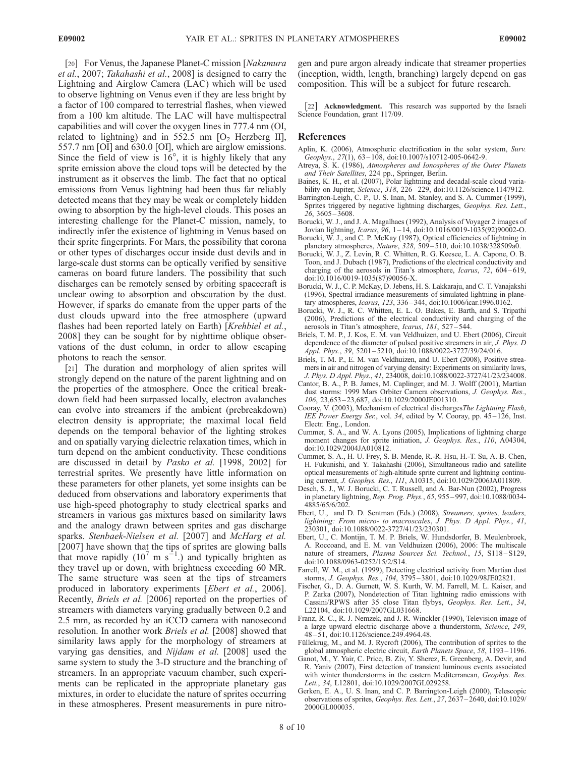[20] For Venus, the Japanese Planet-C mission [Nakamura] et al., 2007; Takahashi et al., 2008] is designed to carry the Lightning and Airglow Camera (LAC) which will be used to observe lightning on Venus even if they are less bright by a factor of 100 compared to terrestrial flashes, when viewed from a 100 km altitude. The LAC will have multispectral capabilities and will cover the oxygen lines in 777.4 nm (OI, related to lightning) and in 552.5 nm  $[O_2$  Herzberg II], 557.7 nm [OI] and 630.0 [OI], which are airglow emissions. Since the field of view is  $16^{\circ}$ , it is highly likely that any sprite emission above the cloud tops will be detected by the instrument as it observes the limb. The fact that no optical emissions from Venus lightning had been thus far reliably detected means that they may be weak or completely hidden owing to absorption by the high-level clouds. This poses an interesting challenge for the Planet-C mission, namely, to indirectly infer the existence of lightning in Venus based on their sprite fingerprints. For Mars, the possibility that corona or other types of discharges occur inside dust devils and in large-scale dust storms can be optically verified by sensitive cameras on board future landers. The possibility that such discharges can be remotely sensed by orbiting spacecraft is unclear owing to absorption and obscuration by the dust. However, if sparks do emanate from the upper parts of the dust clouds upward into the free atmosphere (upward flashes had been reported lately on Earth) [Krehbiel et al., 2008] they can be sought for by nighttime oblique observations of the dust column, in order to allow escaping photons to reach the sensor.

[21] The duration and morphology of alien sprites will strongly depend on the nature of the parent lightning and on the properties of the atmosphere. Once the critical breakdown field had been surpassed locally, electron avalanches can evolve into streamers if the ambient (prebreakdown) electron density is appropriate; the maximal local field depends on the temporal behavior of the lighting strokes and on spatially varying dielectric relaxation times, which in turn depend on the ambient conductivity. These conditions are discussed in detail by Pasko et al. [1998, 2002] for terrestrial sprites. We presently have little information on these parameters for other planets, yet some insights can be deduced from observations and laboratory experiments that use high-speed photography to study electrical sparks and streamers in various gas mixtures based on similarity laws and the analogy drawn between sprites and gas discharge sparks. Stenbaek-Nielsen et al. [2007] and McHarg et al. [2007] have shown that the tips of sprites are glowing balls that move rapidly (10<sup>7</sup> m s<sup>-1</sup>.) and typically brighten as they travel up or down, with brightness exceeding 60 MR. The same structure was seen at the tips of streamers produced in laboratory experiments [Ebert et al., 2006]. Recently, Briels et al. [2006] reported on the properties of streamers with diameters varying gradually between 0.2 and 2.5 mm, as recorded by an iCCD camera with nanosecond resolution. In another work Briels et al. [2008] showed that similarity laws apply for the morphology of streamers at varying gas densities, and Nijdam et al. [2008] used the same system to study the 3-D structure and the branching of streamers. In an appropriate vacuum chamber, such experiments can be replicated in the appropriate planetary gas mixtures, in order to elucidate the nature of sprites occurring in these atmospheres. Present measurements in pure nitrogen and pure argon already indicate that streamer properties (inception, width, length, branching) largely depend on gas composition. This will be a subject for future research.

[22] Acknowledgment. This research was supported by the Israeli Science Foundation, grant 117/09.

## References

- Aplin, K. (2006), Atmospheric electrification in the solar system, Surv. Geophys.,  $27(1)$ ,  $63-108$ , doi:10.1007/s10712-005-0642-9.
- Atreya, S. K. (1986), Atmospheres and Ionospheres of the Outer Planets and Their Satellites, 224 pp., Springer, Berlin.
- Baines, K. H., et al. (2007), Polar lightning and decadal-scale cloud variability on Jupiter, Science, 318, 226-229, doi:10.1126/science.1147912.
- Barrington-Leigh, C. P., U. S. Inan, M. Stanley, and S. A. Cummer (1999), Sprites triggered by negative lightning discharges, Geophys. Res. Lett.,  $26, 3605 - 3608.$
- Borucki, W. J., and J. A. Magalhaes (1992), Analysis of Voyager 2 images of Jovian lightning, *Icarus*,  $96$ ,  $1 - 14$ , doi:10.1016/0019-1035(92)90002-O.
- Borucki, W. J., and C. P. McKay (1987), Optical efficiencies of lightning in planetary atmospheres, Nature, 328, 509-510, doi:10.1038/328509a0.
- Borucki, W. J., Z. Levin, R. C. Whitten, R. G. Keesee, L. A. Capone, O. B. Toon, and J. Dubach (1987), Predictions of the electrical conductivity and charging of the aerosols in Titan's atmosphere, Icarus, 72, 604-619, doi:10.1016/0019-1035(87)90056-X.
- Borucki, W. J., C. P. McKay, D. Jebens, H. S. Lakkaraju, and C. T. Vanajakshi (1996), Spectral irradiance measurements of simulated lightning in planetary atmospheres, Icarus, 123, 336 – 344, doi:10.1006/icar.1996.0162.
- Borucki, W. J., R. C. Whitten, E. L. O. Bakes, E. Barth, and S. Tripathi (2006), Predictions of the electrical conductivity and charging of the aerosols in Titan's atmosphere, Icarus, 181, 527 – 544.
- Briels, T. M. P., J. Kos, E. M. van Veldhuizen, and U. Ebert (2006), Circuit dependence of the diameter of pulsed positive streamers in air, J. Phys. D Appl. Phys., 39, 5201 – 5210, doi:10.1088/0022-3727/39/24/016.
- Briels, T. M. P., E. M. van Veldhuizen, and U. Ebert (2008), Positive streamers in air and nitrogen of varying density: Experiments on similarity laws, J. Phys. D Appl. Phys., 41, 234008, doi:10.1088/0022-3727/41/23/234008.
- Cantor, B. A., P. B. James, M. Caplinger, and M. J. Wolff (2001), Martian dust storms: 1999 Mars Orbiter Camera observations, J. Geophys. Res., 106, 23,653 – 23,687, doi:10.1029/2000JE001310.
- Cooray, V. (2003), Mechanism of electrical dischargesThe Lightning Flash, IEE Power Energy Ser., vol. 34, edited by V. Cooray, pp. 45 – 126, Inst. Electr. Eng., London.
- Cummer, S. A., and W. A. Lyons (2005), Implications of lightning charge moment changes for sprite initiation, J. Geophys. Res., 110, A04304, doi:10.1029/2004JA010812.
- Cummer, S. A., H. U. Frey, S. B. Mende, R.-R. Hsu, H.-T. Su, A. B. Chen, H. Fukunishi, and Y. Takahashi (2006), Simultaneous radio and satellite optical measurements of high-altitude sprite current and lightning continuing current, J. Geophys. Res., 111, A10315, doi:10.1029/2006JA011809.
- Desch, S. J., W. J. Borucki, C. T. Russell, and A. Bar-Nun (2002), Progress in planetary lightning, Rep. Prog. Phys., 65, 955 – 997, doi:10.1088/0034- 4885/65/6/202.
- Ebert, U., and D. D. Sentman (Eds.) (2008), Streamers, sprites, leaders, lightning: From micro- to macroscales, J. Phys. D Appl. Phys., 41, 230301, doi:10.1088/0022-3727/41/23/230301.
- Ebert, U., C. Montijn, T. M. P. Briels, W. Hundsdorfer, B. Meulenbroek, A. Roccoand, and E. M. van Veldhuizen (2006), 2006: The multiscale nature of streamers, Plasma Sources Sci. Technol., 15, S118-S129, doi:10.1088/0963-0252/15/2/S14.
- Farrell, W. M., et al. (1999), Detecting electrical activity from Martian dust storms, J. Geophys. Res., 104, 3795 – 3801, doi:10.1029/98JE02821.
- Fischer, G., D. A. Gurnett, W. S. Kurth, W. M. Farrell, M. L. Kaiser, and P. Zarka (2007), Nondetection of Titan lightning radio emissions with Cassini/RPWS after 35 close Titan flybys, Geophys. Res. Lett., 34, L22104, doi:10.1029/2007GL031668.
- Franz, R. C., R. J. Nemzek, and J. R. Winckler (1990), Television image of a large upward electric discharge above a thunderstorm, Science, 249, 48 – 51, doi:10.1126/science.249.4964.48.
- Füllekrug, M., and M. J. Rycroft (2006), The contribution of sprites to the global atmospheric electric circuit, Earth Planets Space, 58, 1193 – 1196.
- Ganot, M., Y. Yair, C. Price, B. Ziv, Y. Sherez, E. Greenberg, A. Devir, and R. Yaniv (2007), First detection of transient luminous events associated with winter thunderstorms in the eastern Mediterranean, Geophys. Res. Lett., 34, L12801, doi:10.1029/2007GL029258.
- Gerken, E. A., U. S. Inan, and C. P. Barrington-Leigh (2000), Telescopic observations of sprites, Geophys. Res. Lett., 27, 2637 – 2640, doi:10.1029/ 2000GL000035.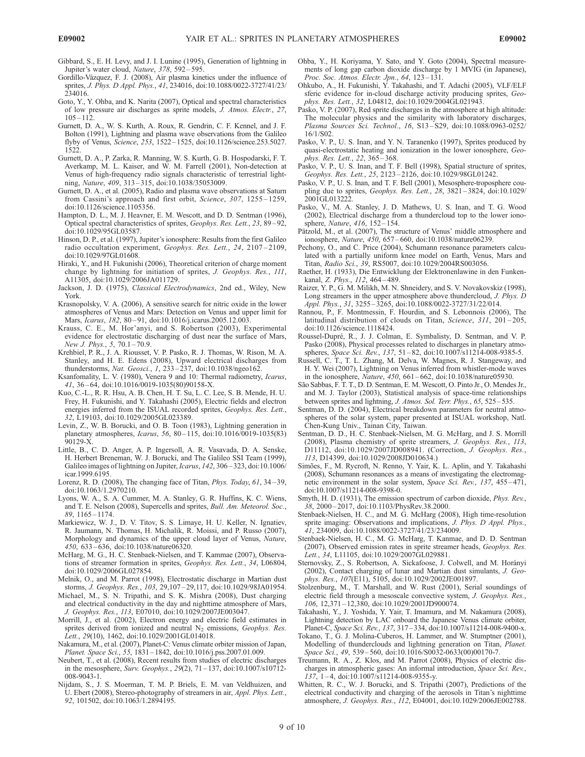Gibbard, S., E. H. Levy, and J. I. Lunine (1995), Generation of lightning in Jupiter's water cloud, Nature, 378, 592 – 595.

- Gordillo-Vázquez, F. J. (2008), Air plasma kinetics under the influence of sprites, J. Phys. D Appl. Phys., 41, 234016, doi:10.1088/0022-3727/41/23/ 234016.
- Goto, Y., Y. Ohba, and K. Narita (2007), Optical and spectral characteristics of low pressure air discharges as sprite models, J. Atmos. Electr., 27, 105 – 112.
- Gurnett, D. A., W. S. Kurth, A. Roux, R. Gendrin, C. F. Kennel, and J. F. Bolton (1991), Lightning and plasma wave observations from the Galileo flyby of Venus, Science, 253, 1522 – 1525, doi:10.1126/science.253.5027. 1522.
- Gurnett, D. A., P. Zarka, R. Manning, W. S. Kurth, G. B. Hospodarski, F. T. Averkamp, M. L. Kaiser, and W. M. Farrell (2001), Non-detection at Venus of high-frequency radio signals characteristic of terrestrial lightning, Nature, 409, 313 – 315, doi:10.1038/35053009.
- Gurnett, D. A., et al. (2005), Radio and plasma wave observations at Saturn from Cassini's approach and first orbit, Science, 307, 1255-1259, doi:10.1126/science.1105356.
- Hampton, D. L., M. J. Heavner, E. M. Wescott, and D. D. Sentman (1996), Optical spectral characteristics of sprites, Geophys. Res. Lett., 23, 89 – 92, doi:10.1029/95GL03587.
- Hinson, D. P., et al. (1997), Jupiter's ionosphere: Results from the first Galileo radio occultation experiment, Geophys. Res. Lett., 24, 2107-2109, doi:10.1029/97GL01608.
- Hiraki, Y., and H. Fukunishi (2006), Theoretical criterion of charge moment change by lightning for initiation of sprites, J. Geophys. Res., 111, A11305, doi:10.1029/2006JA011729.
- Jackson, J. D. (1975), Classical Electrodynamics, 2nd ed., Wiley, New York.
- Krasnopolsky, V. A. (2006), A sensitive search for nitric oxide in the lower atmospheres of Venus and Mars: Detection on Venus and upper limit for Mars, *Icarus*, 182, 80-91, doi:10.1016/j.icarus.2005.12.003.
- Krauss, C. E., M. Hor'anyi, and S. Robertson (2003), Experimental evidence for electrostatic discharging of dust near the surface of Mars, New J. Phys., 5, 70.1-70.9.
- Krehbiel, P. R., J. A. Riousset, V. P. Pasko, R. J. Thomas, W. Rison, M. A. Stanley, and H. E. Edens (2008), Upward electrical discharges from thunderstorms, Nat. Geosci., 1, 233 – 237, doi:10.1038/ngeo162.
- Ksanfomality, L. V. (1980), Venera 9 and 10: Thermal radiometry, Icarus, 41, 36 – 64, doi:10.1016/0019-1035(80)90158-X.
- Kuo, C.-L., R. R. Hsu, A. B. Chen, H. T. Su, L. C. Lee, S. B. Mende, H. U. Frey, H. Fukunishi, and Y. Takahashi (2005), Electric fields and electron energies inferred from the ISUAL recorded sprites, Geophys. Res. Lett., 32, L19103, doi:10.1029/2005GL023389.
- Levin, Z., W. B. Borucki, and O. B. Toon (1983), Lightning generation in planetary atmospheres, *Icarus*, 56, 80-115, doi:10.1016/0019-1035(83) 90129-X.
- Little, B., C. D. Anger, A. P. Ingersoll, A. R. Vasavada, D. A. Senske, H. Herbert Breneman, W. J. Borucki, and The Galileo SSI Team (1999), Galileo images of lightning on Jupiter, Icarus, 142, 306 – 323, doi:10.1006/ icar.1999.6195.
- Lorenz, R. D. (2008), The changing face of Titan, *Phys. Today*,  $61$ ,  $34-39$ , doi:10.1063/1.2970210.
- Lyons, W. A., S. A. Cummer, M. A. Stanley, G. R. Huffins, K. C. Wiens, and T. E. Nelson (2008), Supercells and sprites, Bull. Am. Meteorol. Soc., 89, 1165 – 1174.
- Markiewicz, W. J., D. V. Titov, S. S. Limaye, H. U. Keller, N. Ignatiev, R. Jaumann, N. Thomas, H. Michalik, R. Moissi, and P. Russo (2007), Morphology and dynamics of the upper cloud layer of Venus, Nature, 450, 633 – 636, doi:10.1038/nature06320.
- McHarg, M. G., H. C. Stenbaek-Nielsen, and T. Kammae (2007), Observations of streamer formation in sprites, Geophys. Res. Lett., 34, L06804, doi:10.1029/2006GL027854.
- Melnik, O., and M. Parrot (1998), Electrostatic discharge in Martian dust storms, J. Geophys. Res., 103, 29,107 – 29,117, doi:10.1029/98JA01954.
- Michael, M., S. N. Tripathi, and S. K. Mishra (2008), Dust charging and electrical conductivity in the day and nighttime atmosphere of Mars, J. Geophys. Res., 113, E07010, doi:10.1029/2007JE003047.
- Morrill, J., et al. (2002), Electron energy and electric field estimates in sprites derived from ionized and neutral  $N<sub>2</sub>$  emissions, Geophys. Res. Lett., 29(10), 1462, doi:10.1029/2001GL014018.
- Nakamura, M., et al. (2007), Planet-C: Venus climate orbiter mission of Japan, Planet. Space Sci., 55, 1831 – 1842, doi:10.1016/j.pss.2007.01.009.
- Neubert, T., et al. (2008), Recent results from studies of electric discharges in the mesosphere, Surv. Geophys., 29(2), 71 – 137, doi:10.1007/s10712- 008-9043-1.
- Nijdam, S., J. S. Moerman, T. M. P. Briels, E. M. van Veldhuizen, and U. Ebert (2008), Stereo-photography of streamers in air, Appl. Phys. Lett., 92, 101502, doi:10.1063/1.2894195.
- Ohba, Y., H. Koriyama, Y. Sato, and Y. Goto (2004), Spectral measurements of long gap carbon dioxide discharge by 1 MVIG (in Japanese), Proc. Soc. Atmos. Electr. Jpn., 64, 123-131.
- Ohkubo, A., H. Fukunishi, Y. Takahashi, and T. Adachi (2005), VLF/ELF sferic evidence for in-cloud discharge activity producing sprites, Geophys. Res. Lett., 32, L04812, doi:10.1029/2004GL021943.
- Pasko, V. P. (2007), Red sprite discharges in the atmosphere at high altitude: The molecular physics and the similarity with laboratory discharges, Plasma Sources Sci. Technol., 16, S13 – S29, doi:10.1088/0963-0252/ 16/1/S02.
- Pasko, V. P., U. S. Inan, and Y. N. Taranenko (1997), Sprites produced by quasi-electrostatic heating and ionization in the lower ionosphere, Geophys. Res. Lett., 22, 365 – 368.
- Pasko, V. P., U. S. Inan, and T. F. Bell (1998), Spatial structure of sprites, Geophys. Res. Lett., 25, 2123 – 2126, doi:10.1029/98GL01242.
- Pasko, V. P., U. S. Inan, and T. F. Bell (2001), Mesosphere-troposphere coupling due to sprites, Geophys. Res. Lett., 28, 3821 – 3824, doi:10.1029/ 2001GL013222.
- Pasko, V., M. A. Stanley, J. D. Mathews, U. S. Inan, and T. G. Wood (2002), Electrical discharge from a thundercloud top to the lower ionosphere, *Nature*, 416, 152-154.
- Pätzold, M., et al. (2007), The structure of Venus' middle atmosphere and ionosphere, Nature, 450, 657 – 660, doi:10.1038/nature06239.
- Pechony, O., and C. Price (2004), Schumann resonance parameters calculated with a partially uniform knee model on Earth, Venus, Mars and Titan, Radio Sci., 39, RS5007, doi:10.1029/2004RS003056.
- Raether, H. (1933), Die Entwicklung der Elektronenlawine in den Funkenkanal, Z. Phys., 112, 464-489.
- Raizer, Y. P., G. M. Milikh, M. N. Shneidery, and S. V. Novakovskiz (1998), Long streamers in the upper atmosphere above thundercloud, J. Phys. D Appl. Phys., 31, 3255 – 3265, doi:10.1088/0022-3727/31/22/014.
- Rannou, P., F. Montmessin, F. Hourdin, and S. Lebonnois (2006), The latitudinal distribution of clouds on Titan, Science,  $311$ ,  $201 - 205$ , doi:10.1126/science.1118424.
- Roussel-Dupré, R., J. J. Colman, E. Symbalisty, D. Sentman, and V. P. Pasko (2008), Physical processes related to discharges in planetary atmospheres, Space Sci. Rev., 137, 51-82, doi:10.1007/s11214-008-9385-5.
- Russell, C. T., T. L. Zhang, M. Delva, W. Magnes, R. J. Stangeway, and H. Y. Wei (2007), Lightning on Venus inferred from whistler-mode waves in the ionosphere, Nature, 450, 661 – 662, doi:10.1038/nature05930.
- São Sabbas, F. T. T., D. D. Sentman, E. M. Wescott, O. Pinto Jr., O. Mendes Jr., and M. J. Taylor (2003), Statistical analysis of space-time relationships between sprites and lightning, J. Atmos. Sol. Terr. Phys., 65, 525 – 535.
- Sentman, D. D. (2004), Electrical breakdown parameters for neutral atmospheres of the solar system, paper presented at ISUAL workshop, Natl. Chen-Kung Univ., Tainan City, Taiwan.
- Sentman, D. D., H. C. Stenbaek-Nielsen, M. G. McHarg, and J. S. Morrill (2008), Plasma chemistry of sprite streamers, J. Geophys. Res., 113, D11112, doi:10.1029/2007JD008941. (Correction, J. Geophys. Res., 113, D14399, doi:10.1029/2008JD010634.)
- Simões, F., M. Rycroft, N. Renno, Y. Yair, K. L. Aplin, and Y. Takahashi (2008), Schumann resonances as a means of investigating the electromagnetic environment in the solar system, Space Sci. Rev., 137, 455-471, doi:10.1007/s11214-008-9398-0.
- Smyth, H. D. (1931), The emission spectrum of carbon dioxide, Phys. Rev., 38, 2000 – 2017, doi:10.1103/PhysRev.38.2000.
- Stenbaek-Nielsen, H. C., and M. G. McHarg (2008), High time-resolution sprite imaging: Observations and implications, J. Phys. D Appl. Phys., 41, 234009, doi:10.1088/0022-3727/41/23/234009.
- Stenbaek-Nielsen, H. C., M. G. McHarg, T. Kanmae, and D. D. Sentman (2007), Observed emission rates in sprite streamer heads, Geophys. Res. Lett., 34, L11105, doi:10.1029/2007GL029881.
- Sternovsky, Z., S. Robertson, A. Sickafoose, J. Colwell, and M. Horányi (2002), Contact charging of lunar and Martian dust simulants, J. Geophys. Res., 107(E11), 5105, doi:10.1029/2002JE001897.
- Stolzenburg, M., T. Marshall, and W. Rust (2001), Serial soundings of electric field through a mesoscale convective system, J. Geophys. Res., 106, 12,371 – 12,380, doi:10.1029/2001JD900074.
- Takahashi, Y., J. Yoshida, Y. Yair, T. Imamura, and M. Nakamura (2008), Lightning detection by LAC onboard the Japanese Venus climate orbiter, Planet-C, Space Sci. Rev., 137, 317 – 334, doi:10.1007/s11214-008-9400-x.
- Tokano, T., G. J. Molina-Cuberos, H. Lammer, and W. Stumptner (2001), Modelling of thunderclouds and lightning generation on Titan, Planet. Space Sci., 49, 539-560, doi:10.1016/S0032-0633(00)00170-7.
- Treumann, R. A., Z. Klos, and M. Parrot (2008), Physics of electric discharges in atmospheric gases: An informal introduction, Space Sci. Rev.,  $137, 1 - 4, \text{ doi:10.1007/s11214-008-9355-y.}$
- Whitten, R. C., W. J. Borucki, and S. Tripathi (2007), Predictions of the electrical conductivity and charging of the aerosols in Titan's nighttime atmosphere, J. Geophys. Res., 112, E04001, doi:10.1029/2006JE002788.